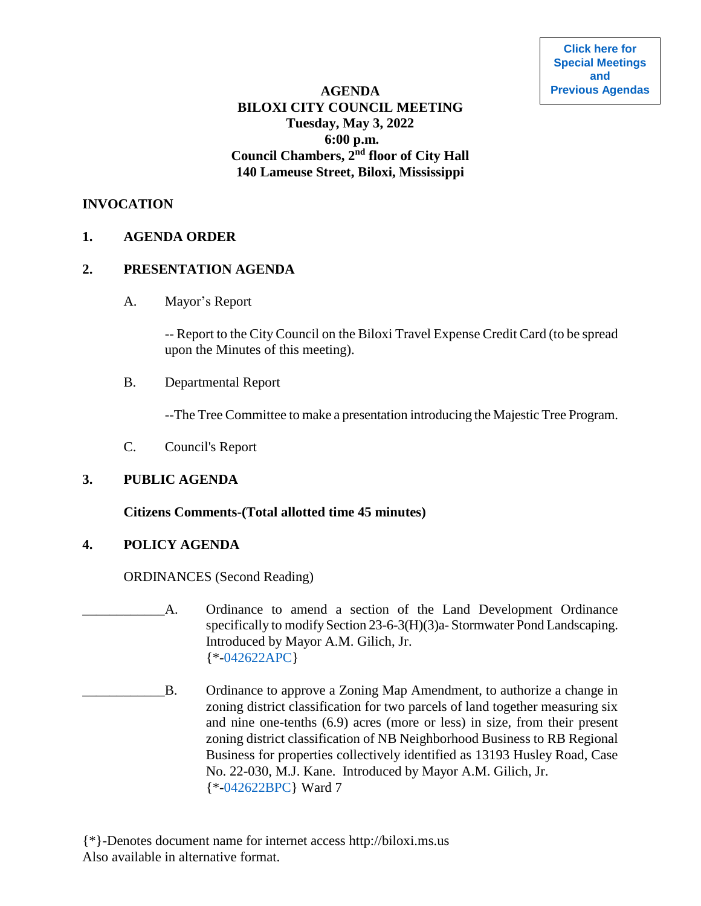# **AGENDA BILOXI CITY COUNCIL MEETING Tuesday, May 3, 2022 6:00 p.m. Council Chambers, 2nd floor of City Hall 140 Lameuse Street, Biloxi, Mississippi**

## **INVOCATION**

## **1. AGENDA ORDER**

#### **2. PRESENTATION AGENDA**

A. Mayor's Report

-- Report to the City Council on the Biloxi Travel Expense Credit Card (to be spread upon the Minutes of this meeting).

B. Departmental Report

--The Tree Committee to make a presentation introducing the Majestic Tree Program.

C. Council's Report

# **3. PUBLIC AGENDA**

#### **Citizens Comments-(Total allotted time 45 minutes)**

# **4. POLICY AGENDA**

ORDINANCES (Second Reading)

A. Ordinance to amend a section of the Land Development Ordinance specifically to modify Section 23-6-3(H)(3)a- Stormwater Pond Landscaping. Introduced by Mayor A.M. Gilich, Jr. {\*[-042622APC}](https://www.biloxi.ms.us/agendas/citycouncil/2022/050322/042622apc.pdf)

- \_\_\_\_\_\_\_\_\_\_\_\_B. Ordinance to approve a Zoning Map Amendment, to authorize a change in zoning district classification for two parcels of land together measuring six and nine one-tenths (6.9) acres (more or less) in size, from their present zoning district classification of NB Neighborhood Business to RB Regional Business for properties collectively identified as 13193 Husley Road, Case No. 22-030, M.J. Kane. Introduced by Mayor A.M. Gilich, Jr. {\*[-042622BPC}](https://www.biloxi.ms.us/agendas/citycouncil/2022/050322/042622bpc.pdf) Ward 7
- {\*}-Denotes document name for internet access http://biloxi.ms.us Also available in alternative format.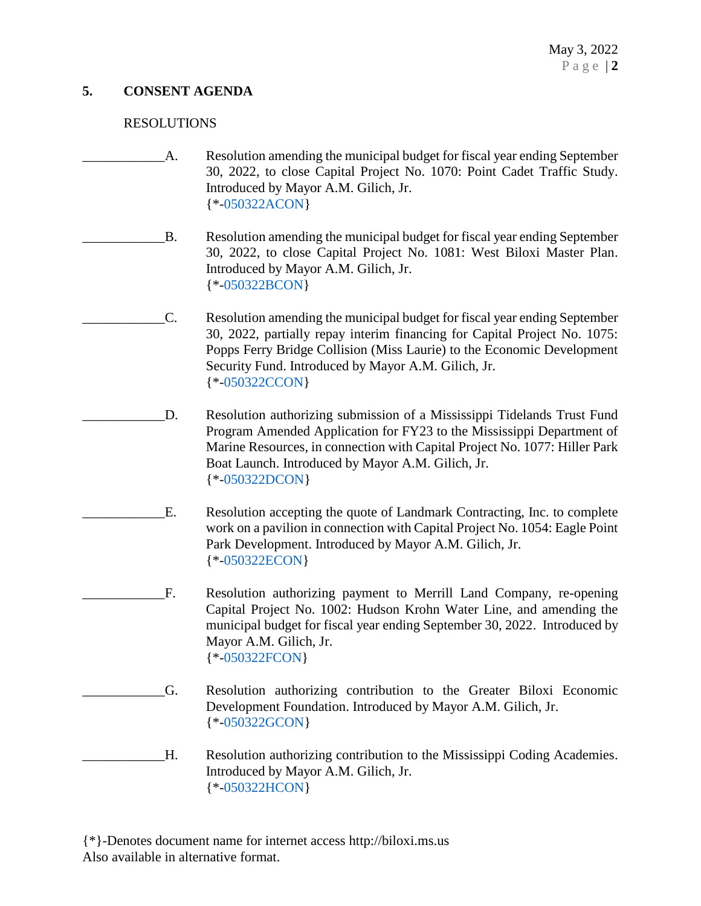# **5. CONSENT AGENDA**

# RESOLUTIONS

- A. Resolution amending the municipal budget for fiscal year ending September 30, 2022, to close Capital Project No. 1070: Point Cadet Traffic Study. Introduced by Mayor A.M. Gilich, Jr. {\*[-050322ACON}](https://www.biloxi.ms.us/agendas/citycouncil/2022/050322/050322acon.pdf)
- B. Resolution amending the municipal budget for fiscal year ending September 30, 2022, to close Capital Project No. 1081: West Biloxi Master Plan. Introduced by Mayor A.M. Gilich, Jr. {\*[-050322BCON}](https://www.biloxi.ms.us/agendas/citycouncil/2022/050322/050322bcon.pdf)
	- \_\_\_\_\_\_\_\_\_\_\_\_C. Resolution amending the municipal budget for fiscal year ending September 30, 2022, partially repay interim financing for Capital Project No. 1075: Popps Ferry Bridge Collision (Miss Laurie) to the Economic Development Security Fund. Introduced by Mayor A.M. Gilich, Jr. {\*[-050322CCON}](https://www.biloxi.ms.us/agendas/citycouncil/2022/050322/050322ccon.pdf)
- \_\_\_\_\_\_\_\_\_\_\_\_D. Resolution authorizing submission of a Mississippi Tidelands Trust Fund Program Amended Application for FY23 to the Mississippi Department of Marine Resources, in connection with Capital Project No. 1077: Hiller Park Boat Launch. Introduced by Mayor A.M. Gilich, Jr. {\*[-050322DCON}](https://www.biloxi.ms.us/agendas/citycouncil/2022/050322/050322dcon.pdf)
- E. Resolution accepting the quote of Landmark Contracting, Inc. to complete work on a pavilion in connection with Capital Project No. 1054: Eagle Point Park Development. Introduced by Mayor A.M. Gilich, Jr. {\*[-050322ECON}](https://www.biloxi.ms.us/agendas/citycouncil/2022/050322/050322econ.pdf)
	- \_\_\_\_\_\_\_\_\_\_\_\_F. Resolution authorizing payment to Merrill Land Company, re-opening Capital Project No. 1002: Hudson Krohn Water Line, and amending the municipal budget for fiscal year ending September 30, 2022. Introduced by Mayor A.M. Gilich, Jr. {\*[-050322FCON}](https://www.biloxi.ms.us/agendas/citycouncil/2022/050322/050322fcon.pdf)
- \_\_\_\_\_\_\_\_\_\_\_\_G. Resolution authorizing contribution to the Greater Biloxi Economic Development Foundation. Introduced by Mayor A.M. Gilich, Jr. {\*[-050322GCON}](https://www.biloxi.ms.us/agendas/citycouncil/2022/050322/050322gcon.pdf)
- \_\_\_\_\_\_\_\_\_\_\_\_H. Resolution authorizing contribution to the Mississippi Coding Academies. Introduced by Mayor A.M. Gilich, Jr. {\*[-050322HCON}](https://www.biloxi.ms.us/agendas/citycouncil/2022/050322/050322hcon.pdf)

{\*}-Denotes document name for internet access http://biloxi.ms.us Also available in alternative format.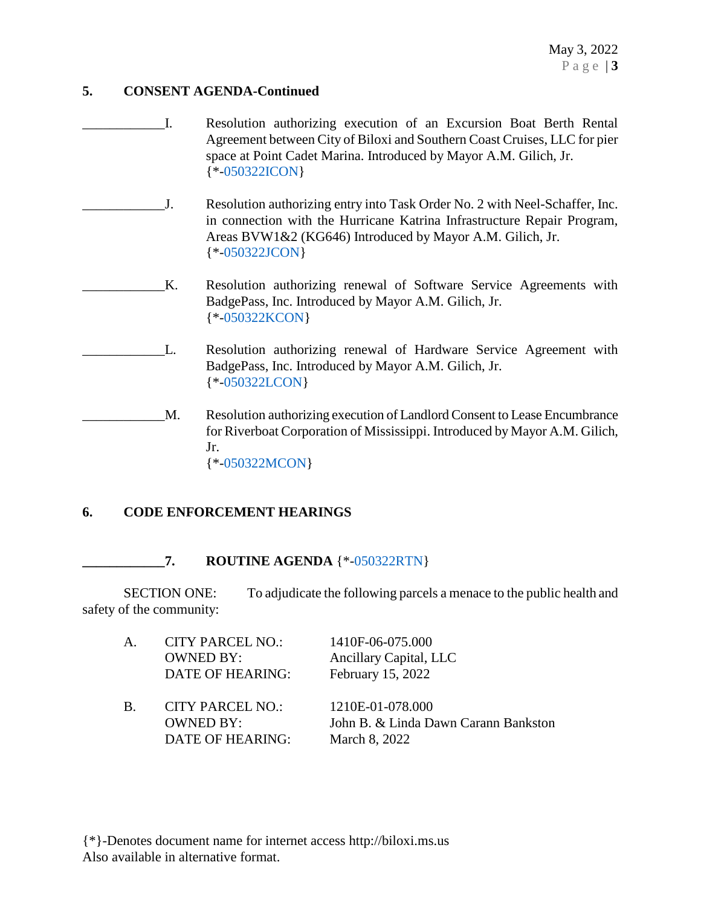May 3, 2022 P a g e | **3**

## **5. CONSENT AGENDA-Continued**

- \_\_\_\_\_\_\_\_\_\_\_\_I. Resolution authorizing execution of an Excursion Boat Berth Rental Agreement between City of Biloxi and Southern Coast Cruises, LLC for pier space at Point Cadet Marina. Introduced by Mayor A.M. Gilich, Jr. {\*[-050322ICON}](https://www.biloxi.ms.us/agendas/citycouncil/2022/050322/050322icon.pdf)
- \_\_\_\_\_\_\_\_\_\_\_\_J. Resolution authorizing entry into Task Order No. 2 with Neel-Schaffer, Inc. in connection with the Hurricane Katrina Infrastructure Repair Program, Areas BVW1&2 (KG646) Introduced by Mayor A.M. Gilich, Jr. {\*[-050322JCON}](https://www.biloxi.ms.us/agendas/citycouncil/2022/050322/050322jcon.pdf)
- K. Resolution authorizing renewal of Software Service Agreements with BadgePass, Inc. Introduced by Mayor A.M. Gilich, Jr. {\*[-050322KCON}](https://www.biloxi.ms.us/agendas/citycouncil/2022/050322/050322kcon.pdf)
	- L. Resolution authorizing renewal of Hardware Service Agreement with BadgePass, Inc. Introduced by Mayor A.M. Gilich, Jr. {\*[-050322LCON}](https://www.biloxi.ms.us/agendas/citycouncil/2022/050322/050322lcon.pdf)
- M. Resolution authorizing execution of Landlord Consent to Lease Encumbrance for Riverboat Corporation of Mississippi. Introduced by Mayor A.M. Gilich, Jr. {\*[-050322MCON}](https://www.biloxi.ms.us/agendas/citycouncil/2022/050322/050322mcon.pdf)

# **6. CODE ENFORCEMENT HEARINGS**

# **\_\_\_\_\_\_\_\_\_\_\_\_7. ROUTINE AGENDA** {\*[-050322RTN}](https://www.biloxi.ms.us/agendas/citycouncil/2022/050322/050322rtn.pdf)

SECTION ONE: To adjudicate the following parcels a menace to the public health and safety of the community:

| Α.         | <b>CITY PARCEL NO.:</b><br><b>OWNED BY:</b><br>DATE OF HEARING: | 1410F-06-075.000<br>Ancillary Capital, LLC<br>February 15, 2022           |
|------------|-----------------------------------------------------------------|---------------------------------------------------------------------------|
| <b>B</b> . | <b>CITY PARCEL NO.:</b><br>OWNED BY:<br>DATE OF HEARING:        | 1210E-01-078.000<br>John B. & Linda Dawn Carann Bankston<br>March 8, 2022 |